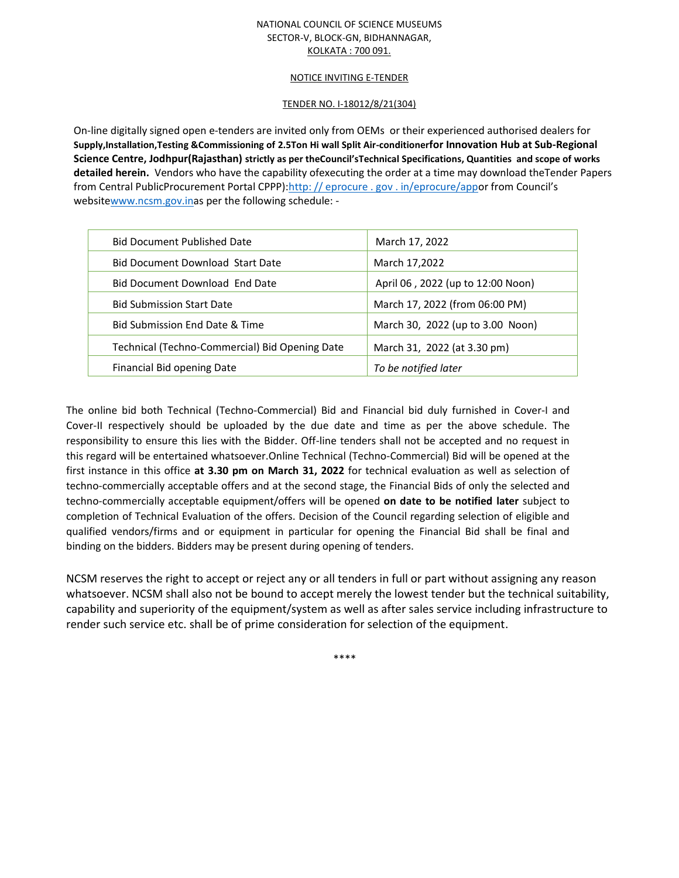### NATIONAL COUNCIL OF SCIENCE MUSEUMS SECTOR-V, BLOCK-GN, BIDHANNAGAR, KOLKATA : 700 091.

#### NOTICE INVITING E-TENDER

### TENDER NO. I-18012/8/21(304)

On-line digitally signed open e-tenders are invited only from OEMs or their experienced authorised dealers for **Supply,Installation,Testing &Commissioning of 2.5Ton Hi wall Split Air-conditionerfor Innovation Hub at Sub-Regional Science Centre, Jodhpur(Rajasthan) strictly as per theCouncil'sTechnical Specifications, Quantities and scope of works detailed herein.** Vendors who have the capability ofexecuting the order at a time may download theTender Papers from Central PublicProcurement Portal CPPP):http: // eprocure . gov . in/eprocure/appor from Council's websitewww.ncsm.gov.inas per the following schedule: -

| <b>Bid Document Published Date</b>             | March 17, 2022                    |
|------------------------------------------------|-----------------------------------|
| <b>Bid Document Download Start Date</b>        | March 17,2022                     |
| <b>Bid Document Download End Date</b>          | April 06, 2022 (up to 12:00 Noon) |
| <b>Bid Submission Start Date</b>               | March 17, 2022 (from 06:00 PM)    |
| Bid Submission End Date & Time                 | March 30, 2022 (up to 3.00 Noon)  |
| Technical (Techno-Commercial) Bid Opening Date | March 31, 2022 (at 3.30 pm)       |
| Financial Bid opening Date                     | To be notified later              |
|                                                |                                   |

The online bid both Technical (Techno-Commercial) Bid and Financial bid duly furnished in Cover-I and Cover-II respectively should be uploaded by the due date and time as per the above schedule. The responsibility to ensure this lies with the Bidder. Off-line tenders shall not be accepted and no request in this regard will be entertained whatsoever.Online Technical (Techno-Commercial) Bid will be opened at the first instance in this office **at 3.30 pm on March 31, 2022** for technical evaluation as well as selection of techno-commercially acceptable offers and at the second stage, the Financial Bids of only the selected and techno-commercially acceptable equipment/offers will be opened **on date to be notified later** subject to completion of Technical Evaluation of the offers. Decision of the Council regarding selection of eligible and qualified vendors/firms and or equipment in particular for opening the Financial Bid shall be final and binding on the bidders. Bidders may be present during opening of tenders.

NCSM reserves the right to accept or reject any or all tenders in full or part without assigning any reason whatsoever. NCSM shall also not be bound to accept merely the lowest tender but the technical suitability, capability and superiority of the equipment/system as well as after sales service including infrastructure to render such service etc. shall be of prime consideration for selection of the equipment.

\*\*\*\*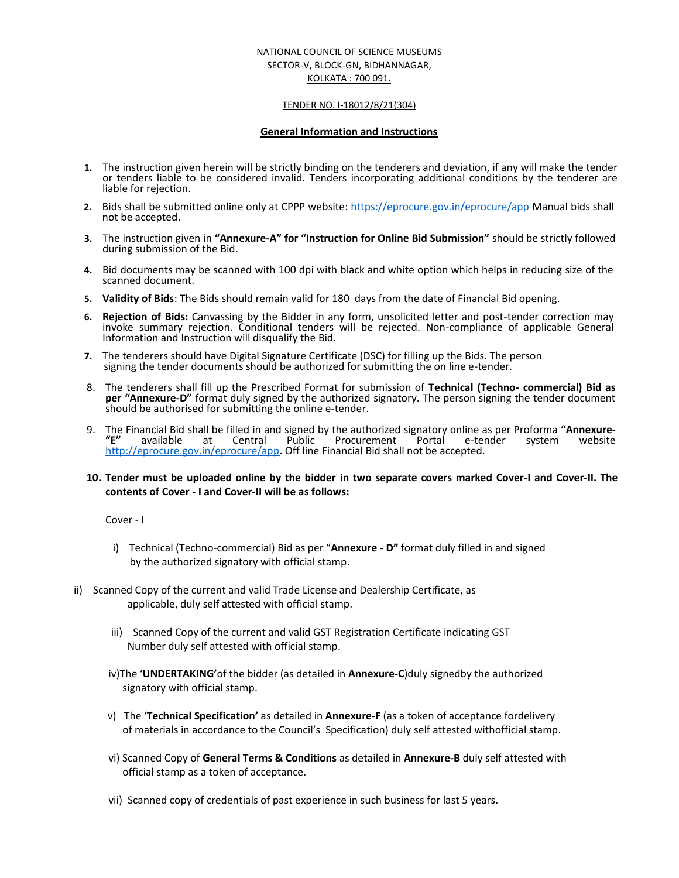### NATIONAL COUNCIL OF SCIENCE MUSEUMS SECTOR-V, BLOCK-GN, BIDHANNAGAR, KOLKATA : 700 091.

#### TENDER NO. I-18012/8/21(304)

#### **General Information and Instructions**

- **1.** The instruction given herein will be strictly binding on the tenderers and deviation, if any will make the tender or tenders liable to be considered invalid. Tenders incorporating additional conditions by the tenderer are liable for rejection.
- **2.** Bids shall be submitted online only at CPPP website: https://eprocure.gov.in/eprocure/app Manual bids shall not be accepted.
- **3.** The instruction given in **"Annexure-A" for "Instruction for Online Bid Submission"** should be strictly followed during submission of the Bid.
- **4.** Bid documents may be scanned with 100 dpi with black and white option which helps in reducing size of the scanned document.
- **5. Validity of Bids**: The Bids should remain valid for 180 days from the date of Financial Bid opening.
- **6. Rejection of Bids:** Canvassing by the Bidder in any form, unsolicited letter and post-tender correction may invoke summary rejection. Conditional tenders will be rejected. Non-compliance of applicable General Information and Instruction will disqualify the Bid.
- **7.** The tenderers should have Digital Signature Certificate (DSC) for filling up the Bids. The person signing the tender documents should be authorized for submitting the on line e-tender.
- 8. The tenderers shall fill up the Prescribed Format for submission of **Technical (Techno- commercial) Bid as per "Annexure-D"** format duly signed by the authorized signatory. The person signing the tender document should be authorised for submitting the online e-tender.
- 9. The Financial Bid shall be filled in and signed by the authorized signatory online as per Proforma **"Annexure- "E"** available at Central Public Procurement Portal e-tender system website http://eprocure.gov.in/eprocure/app. Off line Financial Bid shall not be accepted.

## **10. Tender must be uploaded online by the bidder in two separate covers marked Cover-I and Cover-II. The contents of Cover - I and Cover-II will be as follows:**

Cover - I

- i) Technical (Techno-commercial) Bid as per "**Annexure - D"** format duly filled in and signed by the authorized signatory with official stamp.
- ii) Scanned Copy of the current and valid Trade License and Dealership Certificate, as applicable, duly self attested with official stamp.
	- iii) Scanned Copy of the current and valid GST Registration Certificate indicating GST Number duly self attested with official stamp.
	- iv)The '**UNDERTAKING'**of the bidder (as detailed in **Annexure-C**)duly signedby the authorized signatory with official stamp.
	- v) The '**Technical Specification'** as detailed in **Annexure-F** (as a token of acceptance fordelivery of materials in accordance to the Council's Specification) duly self attested withofficial stamp.
	- vi) Scanned Copy of **General Terms & Conditions** as detailed in **Annexure-B** duly self attested with official stamp as a token of acceptance.
	- vii) Scanned copy of credentials of past experience in such business for last 5 years.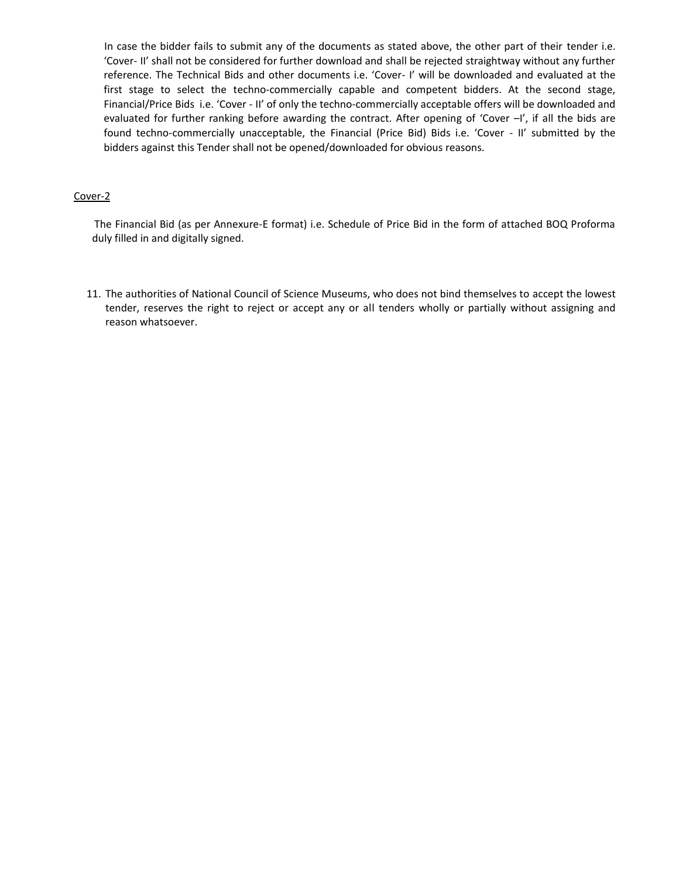In case the bidder fails to submit any of the documents as stated above, the other part of their tender i.e. 'Cover- II' shall not be considered for further download and shall be rejected straightway without any further reference. The Technical Bids and other documents i.e. 'Cover- I' will be downloaded and evaluated at the first stage to select the techno-commercially capable and competent bidders. At the second stage, Financial/Price Bids i.e. 'Cover - II' of only the techno-commercially acceptable offers will be downloaded and evaluated for further ranking before awarding the contract. After opening of 'Cover -I', if all the bids are found techno-commercially unacceptable, the Financial (Price Bid) Bids i.e. 'Cover - II' submitted by the bidders against this Tender shall not be opened/downloaded for obvious reasons.

## Cover-2

The Financial Bid (as per Annexure-E format) i.e. Schedule of Price Bid in the form of attached BOQ Proforma duly filled in and digitally signed.

11. The authorities of National Council of Science Museums, who does not bind themselves to accept the lowest tender, reserves the right to reject or accept any or all tenders wholly or partially without assigning and reason whatsoever.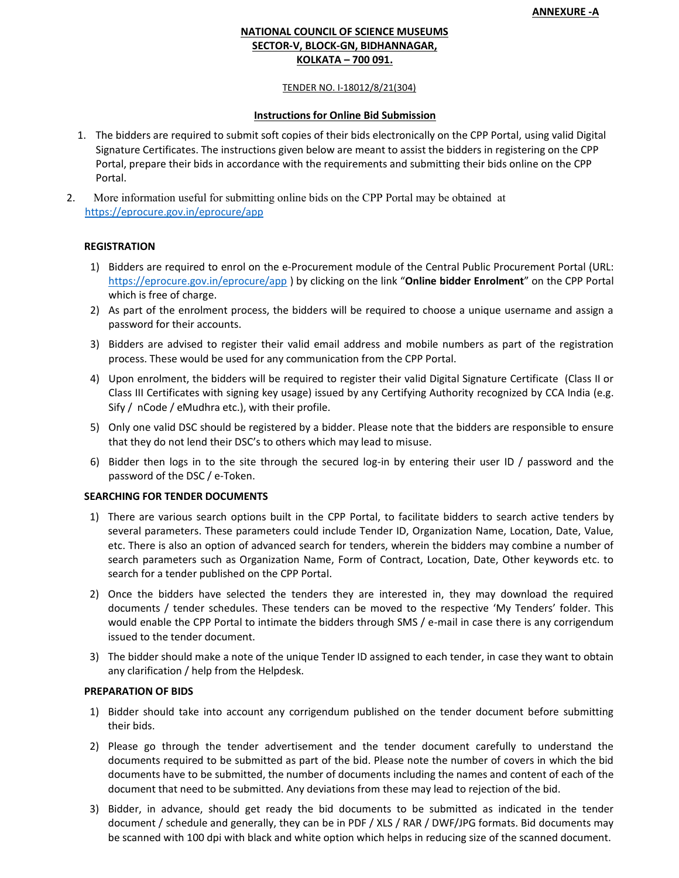# **NATIONAL COUNCIL OF SCIENCE MUSEUMS SECTOR-V, BLOCK-GN, BIDHANNAGAR, KOLKATA – 700 091.**

### TENDER NO. I-18012/8/21(304)

## **Instructions for Online Bid Submission**

- 1. The bidders are required to submit soft copies of their bids electronically on the CPP Portal, using valid Digital Signature Certificates. The instructions given below are meant to assist the bidders in registering on the CPP Portal, prepare their bids in accordance with the requirements and submitting their bids online on the CPP Portal.
- 2. More information useful for submitting online bids on the CPP Portal may be obtained at https://eprocure.gov.in/eprocure/app

## **REGISTRATION**

- 1) Bidders are required to enrol on the e-Procurement module of the Central Public Procurement Portal (URL: https://eprocure.gov.in/eprocure/app ) by clicking on the link "**Online bidder Enrolment**" on the CPP Portal which is free of charge.
- 2) As part of the enrolment process, the bidders will be required to choose a unique username and assign a password for their accounts.
- 3) Bidders are advised to register their valid email address and mobile numbers as part of the registration process. These would be used for any communication from the CPP Portal.
- 4) Upon enrolment, the bidders will be required to register their valid Digital Signature Certificate (Class II or Class III Certificates with signing key usage) issued by any Certifying Authority recognized by CCA India (e.g. Sify / nCode / eMudhra etc.), with their profile.
- 5) Only one valid DSC should be registered by a bidder. Please note that the bidders are responsible to ensure that they do not lend their DSC's to others which may lead to misuse.
- 6) Bidder then logs in to the site through the secured log-in by entering their user ID / password and the password of the DSC / e-Token.

## **SEARCHING FOR TENDER DOCUMENTS**

- 1) There are various search options built in the CPP Portal, to facilitate bidders to search active tenders by several parameters. These parameters could include Tender ID, Organization Name, Location, Date, Value, etc. There is also an option of advanced search for tenders, wherein the bidders may combine a number of search parameters such as Organization Name, Form of Contract, Location, Date, Other keywords etc. to search for a tender published on the CPP Portal.
- 2) Once the bidders have selected the tenders they are interested in, they may download the required documents / tender schedules. These tenders can be moved to the respective 'My Tenders' folder. This would enable the CPP Portal to intimate the bidders through SMS / e-mail in case there is any corrigendum issued to the tender document.
- 3) The bidder should make a note of the unique Tender ID assigned to each tender, in case they want to obtain any clarification / help from the Helpdesk.

## **PREPARATION OF BIDS**

- 1) Bidder should take into account any corrigendum published on the tender document before submitting their bids.
- 2) Please go through the tender advertisement and the tender document carefully to understand the documents required to be submitted as part of the bid. Please note the number of covers in which the bid documents have to be submitted, the number of documents including the names and content of each of the document that need to be submitted. Any deviations from these may lead to rejection of the bid.
- 3) Bidder, in advance, should get ready the bid documents to be submitted as indicated in the tender document / schedule and generally, they can be in PDF / XLS / RAR / DWF/JPG formats. Bid documents may be scanned with 100 dpi with black and white option which helps in reducing size of the scanned document.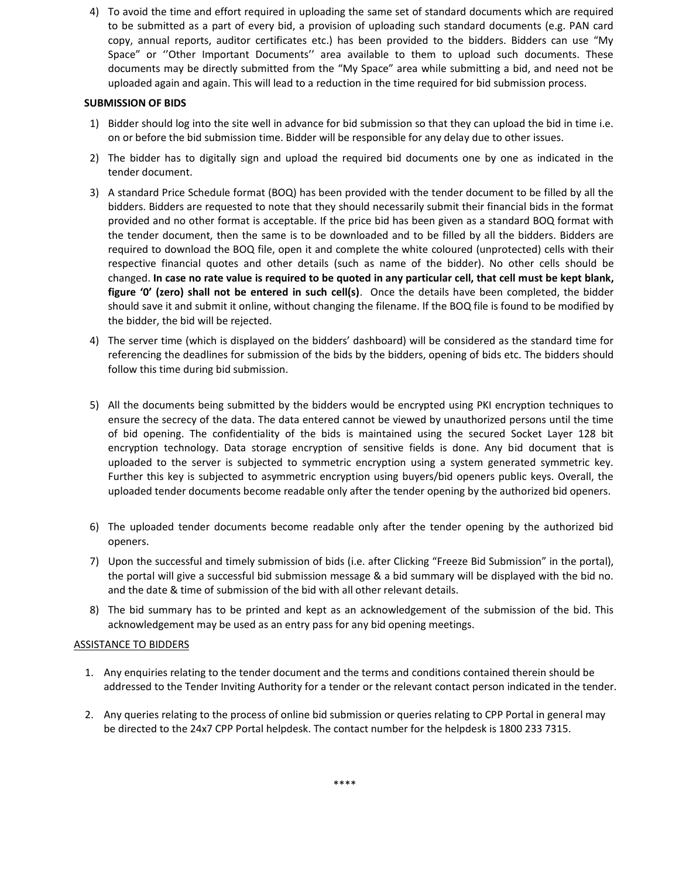4) To avoid the time and effort required in uploading the same set of standard documents which are required to be submitted as a part of every bid, a provision of uploading such standard documents (e.g. PAN card copy, annual reports, auditor certificates etc.) has been provided to the bidders. Bidders can use "My Space" or ''Other Important Documents'' area available to them to upload such documents. These documents may be directly submitted from the "My Space" area while submitting a bid, and need not be uploaded again and again. This will lead to a reduction in the time required for bid submission process.

# **SUBMISSION OF BIDS**

- 1) Bidder should log into the site well in advance for bid submission so that they can upload the bid in time i.e. on or before the bid submission time. Bidder will be responsible for any delay due to other issues.
- 2) The bidder has to digitally sign and upload the required bid documents one by one as indicated in the tender document.
- 3) A standard Price Schedule format (BOQ) has been provided with the tender document to be filled by all the bidders. Bidders are requested to note that they should necessarily submit their financial bids in the format provided and no other format is acceptable. If the price bid has been given as a standard BOQ format with the tender document, then the same is to be downloaded and to be filled by all the bidders. Bidders are required to download the BOQ file, open it and complete the white coloured (unprotected) cells with their respective financial quotes and other details (such as name of the bidder). No other cells should be changed. **In case no rate value is required to be quoted in any particular cell, that cell must be kept blank, figure '0' (zero) shall not be entered in such cell(s)**. Once the details have been completed, the bidder should save it and submit it online, without changing the filename. If the BOQ file is found to be modified by the bidder, the bid will be rejected.
- 4) The server time (which is displayed on the bidders' dashboard) will be considered as the standard time for referencing the deadlines for submission of the bids by the bidders, opening of bids etc. The bidders should follow this time during bid submission.
- 5) All the documents being submitted by the bidders would be encrypted using PKI encryption techniques to ensure the secrecy of the data. The data entered cannot be viewed by unauthorized persons until the time of bid opening. The confidentiality of the bids is maintained using the secured Socket Layer 128 bit encryption technology. Data storage encryption of sensitive fields is done. Any bid document that is uploaded to the server is subjected to symmetric encryption using a system generated symmetric key. Further this key is subjected to asymmetric encryption using buyers/bid openers public keys. Overall, the uploaded tender documents become readable only after the tender opening by the authorized bid openers.
- 6) The uploaded tender documents become readable only after the tender opening by the authorized bid openers.
- 7) Upon the successful and timely submission of bids (i.e. after Clicking "Freeze Bid Submission" in the portal), the portal will give a successful bid submission message & a bid summary will be displayed with the bid no. and the date & time of submission of the bid with all other relevant details.
- 8) The bid summary has to be printed and kept as an acknowledgement of the submission of the bid. This acknowledgement may be used as an entry pass for any bid opening meetings.

## ASSISTANCE TO BIDDERS

- 1. Any enquiries relating to the tender document and the terms and conditions contained therein should be addressed to the Tender Inviting Authority for a tender or the relevant contact person indicated in the tender.
- 2. Any queries relating to the process of online bid submission or queries relating to CPP Portal in general may be directed to the 24x7 CPP Portal helpdesk. The contact number for the helpdesk is 1800 233 7315.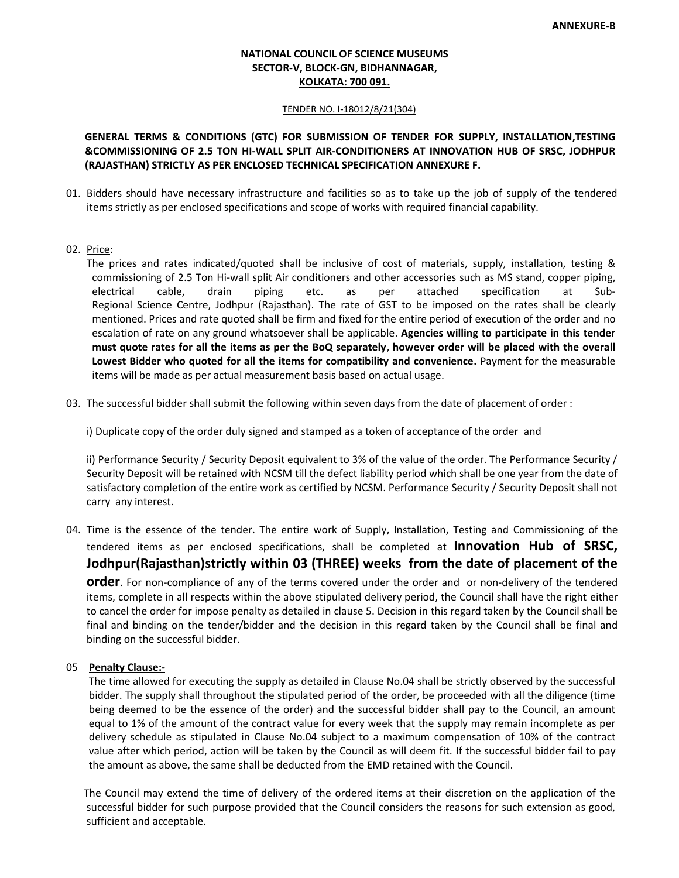# **NATIONAL COUNCIL OF SCIENCE MUSEUMS SECTOR-V, BLOCK-GN, BIDHANNAGAR, KOLKATA: 700 091.**

#### TENDER NO. I-18012/8/21(304)

# **GENERAL TERMS & CONDITIONS (GTC) FOR SUBMISSION OF TENDER FOR SUPPLY, INSTALLATION,TESTING &COMMISSIONING OF 2.5 TON HI-WALL SPLIT AIR-CONDITIONERS AT INNOVATION HUB OF SRSC, JODHPUR (RAJASTHAN) STRICTLY AS PER ENCLOSED TECHNICAL SPECIFICATION ANNEXURE F.**

- 01. Bidders should have necessary infrastructure and facilities so as to take up the job of supply of the tendered items strictly as per enclosed specifications and scope of works with required financial capability.
- 02. Price:

The prices and rates indicated/quoted shall be inclusive of cost of materials, supply, installation, testing & commissioning of 2.5 Ton Hi-wall split Air conditioners and other accessories such as MS stand, copper piping, electrical cable, drain piping etc. as per attached specification at Sub- Regional Science Centre, Jodhpur (Rajasthan). The rate of GST to be imposed on the rates shall be clearly mentioned. Prices and rate quoted shall be firm and fixed for the entire period of execution of the order and no escalation of rate on any ground whatsoever shall be applicable. **Agencies willing to participate in this tender must quote rates for all the items as per the BoQ separately**, **however order will be placed with the overall Lowest Bidder who quoted for all the items for compatibility and convenience.** Payment for the measurable items will be made as per actual measurement basis based on actual usage.

03. The successful bidder shall submit the following within seven days from the date of placement of order :

i) Duplicate copy of the order duly signed and stamped as a token of acceptance of the order and

ii) Performance Security / Security Deposit equivalent to 3% of the value of the order. The Performance Security / Security Deposit will be retained with NCSM till the defect liability period which shall be one year from the date of satisfactory completion of the entire work as certified by NCSM. Performance Security / Security Deposit shall not carry any interest.

04. Time is the essence of the tender. The entire work of Supply, Installation, Testing and Commissioning of the tendered items as per enclosed specifications, shall be completed at **Innovation Hub of SRSC, Jodhpur(Rajasthan)strictly within 03 (THREE) weeks from the date of placement of the order**. For non-compliance of any of the terms covered under the order and or non-delivery of the tendered items, complete in all respects within the above stipulated delivery period, the Council shall have the right either to cancel the order for impose penalty as detailed in clause 5. Decision in this regard taken by the Council shall be final and binding on the tender/bidder and the decision in this regard taken by the Council shall be final and binding on the successful bidder.

### 05 **Penalty Clause:-**

The time allowed for executing the supply as detailed in Clause No.04 shall be strictly observed by the successful bidder. The supply shall throughout the stipulated period of the order, be proceeded with all the diligence (time being deemed to be the essence of the order) and the successful bidder shall pay to the Council, an amount equal to 1% of the amount of the contract value for every week that the supply may remain incomplete as per delivery schedule as stipulated in Clause No.04 subject to a maximum compensation of 10% of the contract value after which period, action will be taken by the Council as will deem fit. If the successful bidder fail to pay the amount as above, the same shall be deducted from the EMD retained with the Council.

The Council may extend the time of delivery of the ordered items at their discretion on the application of the successful bidder for such purpose provided that the Council considers the reasons for such extension as good, sufficient and acceptable.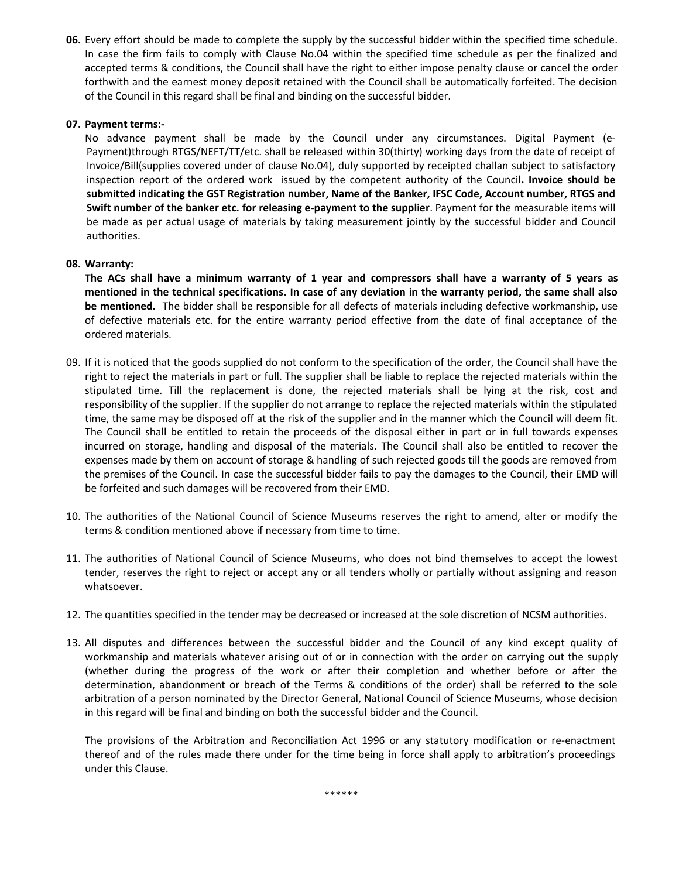**06.** Every effort should be made to complete the supply by the successful bidder within the specified time schedule. In case the firm fails to comply with Clause No.04 within the specified time schedule as per the finalized and accepted terms & conditions, the Council shall have the right to either impose penalty clause or cancel the order forthwith and the earnest money deposit retained with the Council shall be automatically forfeited. The decision of the Council in this regard shall be final and binding on the successful bidder.

## **07. Payment terms:-**

No advance payment shall be made by the Council under any circumstances. Digital Payment (e- Payment)through RTGS/NEFT/TT/etc. shall be released within 30(thirty) working days from the date of receipt of Invoice/Bill(supplies covered under of clause No.04), duly supported by receipted challan subject to satisfactory inspection report of the ordered work issued by the competent authority of the Council**. Invoice should be submitted indicating the GST Registration number, Name of the Banker, IFSC Code, Account number, RTGS and Swift number of the banker etc. for releasing e-payment to the supplier**. Payment for the measurable items will be made as per actual usage of materials by taking measurement jointly by the successful bidder and Council authorities.

# **08. Warranty:**

**The ACs shall have a minimum warranty of 1 year and compressors shall have a warranty of 5 years as mentioned in the technical specifications. In case of any deviation in the warranty period, the same shall also be mentioned.** The bidder shall be responsible for all defects of materials including defective workmanship, use of defective materials etc. for the entire warranty period effective from the date of final acceptance of the ordered materials.

- 09. If it is noticed that the goods supplied do not conform to the specification of the order, the Council shall have the right to reject the materials in part or full. The supplier shall be liable to replace the rejected materials within the stipulated time. Till the replacement is done, the rejected materials shall be lying at the risk, cost and responsibility of the supplier. If the supplier do not arrange to replace the rejected materials within the stipulated time, the same may be disposed off at the risk of the supplier and in the manner which the Council will deem fit. The Council shall be entitled to retain the proceeds of the disposal either in part or in full towards expenses incurred on storage, handling and disposal of the materials. The Council shall also be entitled to recover the expenses made by them on account of storage & handling of such rejected goods till the goods are removed from the premises of the Council. In case the successful bidder fails to pay the damages to the Council, their EMD will be forfeited and such damages will be recovered from their EMD.
- 10. The authorities of the National Council of Science Museums reserves the right to amend, alter or modify the terms & condition mentioned above if necessary from time to time.
- 11. The authorities of National Council of Science Museums, who does not bind themselves to accept the lowest tender, reserves the right to reject or accept any or all tenders wholly or partially without assigning and reason whatsoever.
- 12. The quantities specified in the tender may be decreased or increased at the sole discretion of NCSM authorities.
- 13. All disputes and differences between the successful bidder and the Council of any kind except quality of workmanship and materials whatever arising out of or in connection with the order on carrying out the supply (whether during the progress of the work or after their completion and whether before or after the determination, abandonment or breach of the Terms & conditions of the order) shall be referred to the sole arbitration of a person nominated by the Director General, National Council of Science Museums, whose decision in this regard will be final and binding on both the successful bidder and the Council.

The provisions of the Arbitration and Reconciliation Act 1996 or any statutory modification or re-enactment thereof and of the rules made there under for the time being in force shall apply to arbitration's proceedings under this Clause.

\*\*\*\*\*\*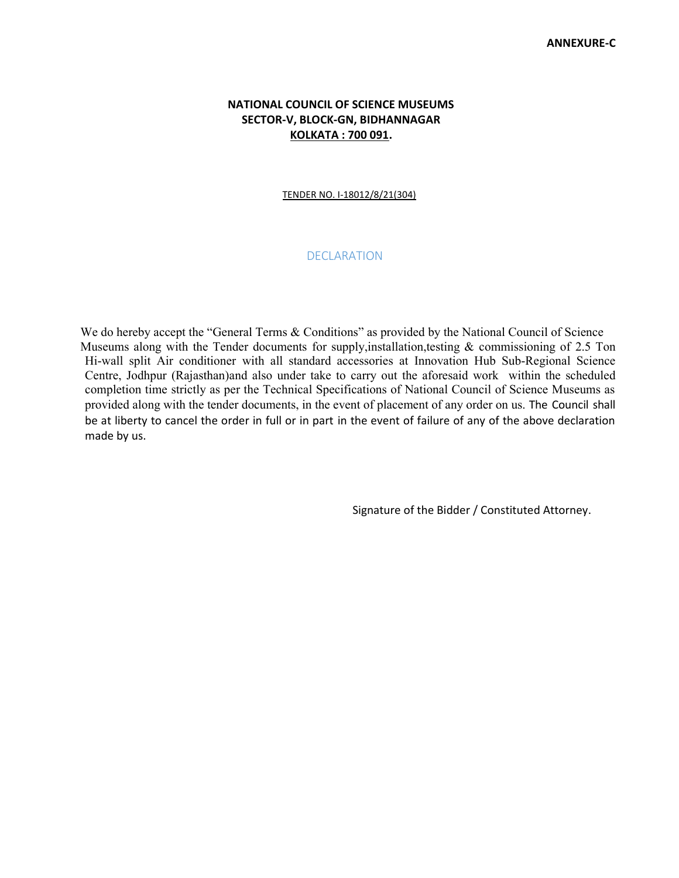# **NATIONAL COUNCIL OF SCIENCE MUSEUMS SECTOR-V, BLOCK-GN, BIDHANNAGAR KOLKATA : 700 091.**

## TENDER NO. I-18012/8/21(304)

# **DECLARATION**

We do hereby accept the "General Terms & Conditions" as provided by the National Council of Science Museums along with the Tender documents for supply, installation, testing  $\&$  commissioning of 2.5 Ton Hi-wall split Air conditioner with all standard accessories at Innovation Hub Sub-Regional Science Centre, Jodhpur (Rajasthan)and also under take to carry out the aforesaid work within the scheduled completion time strictly as per the Technical Specifications of National Council of Science Museums as provided along with the tender documents, in the event of placement of any order on us. The Council shall be at liberty to cancel the order in full or in part in the event of failure of any of the above declaration made by us.

Signature of the Bidder / Constituted Attorney.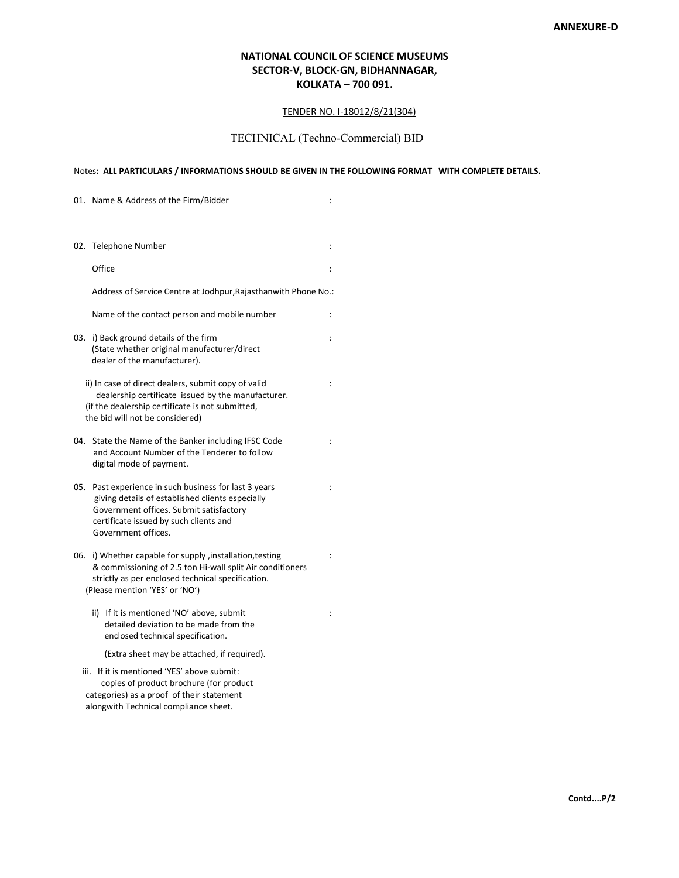# **NATIONAL COUNCIL OF SCIENCE MUSEUMS SECTOR-V, BLOCK-GN, BIDHANNAGAR, KOLKATA – 700 091.**

#### TENDER NO. I-18012/8/21(304)

# TECHNICAL (Techno-Commercial) BID

## Notes**: ALL PARTICULARS / INFORMATIONS SHOULD BE GIVEN IN THE FOLLOWING FORMAT WITH COMPLETE DETAILS.**

|     | 01. Name & Address of the Firm/Bidder                                                                                                                                                                             | $\ddot{\phantom{a}}$ |
|-----|-------------------------------------------------------------------------------------------------------------------------------------------------------------------------------------------------------------------|----------------------|
|     |                                                                                                                                                                                                                   |                      |
|     | 02. Telephone Number                                                                                                                                                                                              | $\ddot{\cdot}$       |
|     | Office                                                                                                                                                                                                            | $\ddot{\cdot}$       |
|     | Address of Service Centre at Jodhpur, Rajasthanwith Phone No.:                                                                                                                                                    |                      |
|     | Name of the contact person and mobile number                                                                                                                                                                      | $\ddot{\cdot}$       |
| 03. | i) Back ground details of the firm<br>(State whether original manufacturer/direct<br>dealer of the manufacturer).                                                                                                 | $\ddot{\cdot}$       |
|     | ii) In case of direct dealers, submit copy of valid<br>dealership certificate issued by the manufacturer.<br>(if the dealership certificate is not submitted,<br>the bid will not be considered)                  | $\ddot{\phantom{a}}$ |
| 04. | State the Name of the Banker including IFSC Code<br>and Account Number of the Tenderer to follow<br>digital mode of payment.                                                                                      | $\ddot{\cdot}$       |
| 05. | Past experience in such business for last 3 years<br>giving details of established clients especially<br>Government offices. Submit satisfactory<br>certificate issued by such clients and<br>Government offices. | $\ddot{\phantom{a}}$ |
| 06. | i) Whether capable for supply ,installation, testing<br>& commissioning of 2.5 ton Hi-wall split Air conditioners<br>strictly as per enclosed technical specification.<br>(Please mention 'YES' or 'NO')          | $\ddot{\cdot}$       |
|     | ii) If it is mentioned 'NO' above, submit<br>detailed deviation to be made from the<br>enclosed technical specification.                                                                                          | $\ddot{\phantom{a}}$ |
|     | (Extra sheet may be attached, if required).                                                                                                                                                                       |                      |
|     | iii. If it is mentioned 'YES' above submit:<br>copies of product brochure (for product<br>categories) as a proof of their statement<br>alongwith Technical compliance sheet.                                      |                      |